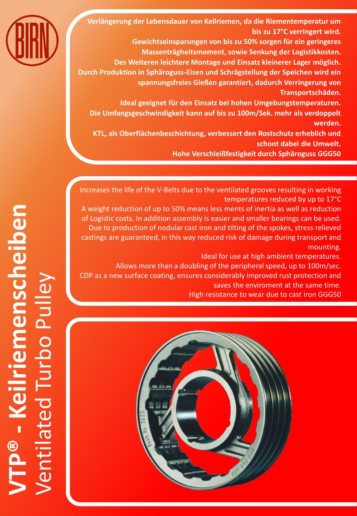

**Verlängerung der Lebensdauer von Keilriemen, da die Riementemperatur um bis zu 17°C verringert wird.**

**Gewichtseinsparungen von bis zu 50% sorgen für ein geringeres Massenträgheitsmoment, sowie Senkung der Logistikkosten.**

**Des Weiteren leichtere Montage und Einsatz kleinerer Lager möglich. Durch Produktion in Sphäroguss-Eisen und Schrägstellung der Speichen wird ein spannungsfreies Gießen garantiert, dadurch Verringerung von** 

**Transportschäden.**

**Ideal geeignet für den Einsatz bei hohen Umgebungstemperaturen. Die Umfangsgeschwindigkeit kann auf bis zu 100m/Sek. mehr als verdoppelt werden.**

**KTL, als Oberflächenbeschichtung, verbessert den Rostschutz erheblich und schont dabei die Umwelt.** 

**Hohe Verschleißfestigkeit durch Sphäroguss GGG50**

Increases the life of the V-Belts due to the ventilated grooves resulting in working temperatures reduced by up to 17°C

A weight reduction of up to 50% means less ments of inertia as well as reduction of Logistic costs. In addition assembly is easier and smaller bearings can be used. Due to production of nodular cast iron and tilting of the spokes, stress relieved castings are guaranteed, in this way reduced risk of damage during transport and mounting.

Ideal for use at high ambient temperatures.

Allows more than a doubling of the peripheral speed, up to 100m/sec.

CDP as a new surface coating, ensures considerably improved rust protection and saves the enviroment at the same time.

High resistance to wear due to cast iron GGG50

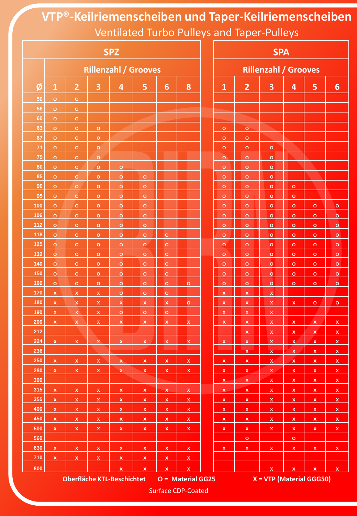**VTP®-Keilriemenscheiben und Taper-Keilriemenscheiben** Ventilated Turbo Pulleys and Taper-Pulleys

| <b>SPZ</b>                                                                           |                             |                    |                         |                         |                         |                                |                                    |  | <b>SPA</b>                     |                         |                         |                                        |                         |                                      |  |  |
|--------------------------------------------------------------------------------------|-----------------------------|--------------------|-------------------------|-------------------------|-------------------------|--------------------------------|------------------------------------|--|--------------------------------|-------------------------|-------------------------|----------------------------------------|-------------------------|--------------------------------------|--|--|
|                                                                                      | <b>Rillenzahl / Grooves</b> |                    |                         |                         |                         |                                |                                    |  | <b>Rillenzahl / Grooves</b>    |                         |                         |                                        |                         |                                      |  |  |
| Ø                                                                                    | $\mathbf{1}$                | $\overline{2}$     | 3                       | 4                       | 5                       | $6\phantom{1}6$                | 8                                  |  | $\mathbf{1}$                   | $\overline{2}$          | 3                       | 4                                      | 5                       | $6\phantom{1}$                       |  |  |
| 50                                                                                   | $\circ$                     | $\circ$            |                         |                         |                         |                                |                                    |  |                                |                         |                         |                                        |                         |                                      |  |  |
| 56                                                                                   | $\circ$                     | $\mathbf O$        |                         |                         |                         |                                |                                    |  |                                |                         |                         |                                        |                         |                                      |  |  |
| 60                                                                                   | $\circ$                     | $\mathbf O$        |                         |                         |                         |                                | 7 X X                              |  |                                |                         |                         |                                        |                         |                                      |  |  |
| 63                                                                                   | $\circ$                     | $\mathbf{o}$       | $\mathbf O$             |                         |                         |                                |                                    |  | $\circ$                        | $\mathbf{o}$            |                         |                                        |                         |                                      |  |  |
| 67                                                                                   | $\circ$                     | $\circ$            | $\mathbf{o}$            |                         |                         |                                |                                    |  | $\mathbf{o}$                   | $\mathbf{o}$            |                         |                                        |                         |                                      |  |  |
| 71                                                                                   | $\circ$                     | $\circ$            | $\circ$                 |                         |                         |                                |                                    |  | $\circ$                        | $\mathbf{o}$            | $\circ$                 |                                        |                         |                                      |  |  |
| 75                                                                                   | $\circ$                     | $\circ$            | $\circ$                 |                         |                         |                                |                                    |  | $\mathbf{o}$                   | $\mathbf{o}$            | $\mathbf{o}$            |                                        |                         |                                      |  |  |
| 80                                                                                   | $\circ$                     | $\circ$            | $\circ$                 | o                       |                         |                                |                                    |  | $\circ$                        | $\mathbf{o}$            | $\circ$                 |                                        |                         |                                      |  |  |
| 85                                                                                   | $\mathbf{o}$                | $\mathbf O$        | $\mathbf{o}$            | $\circ$                 | $\circ$                 |                                |                                    |  | $\circ$                        | $\mathbf{o}$            | $\mathbf{o}$            |                                        |                         |                                      |  |  |
| 90                                                                                   | $\circ$                     | $\circ$            | $\circ$                 | $\circ$                 | $\circ$                 |                                |                                    |  | $\circ$                        | $\circ$                 | $\circ$                 | $\mathbf{o}$                           |                         |                                      |  |  |
| 95                                                                                   | $\circ$                     | $\circ$            | $\mathbf{o}$            | $\circ$                 | $\circ$                 |                                |                                    |  | $\circ$                        | $\circ$                 | $\circ$                 | $\mathbf{o}$                           |                         |                                      |  |  |
| 100                                                                                  | $\circ$                     | $\mathbf{o}$       | $\mathbf{o}$            | $\mathsf{o}$            | $\circ$                 |                                |                                    |  | $\circ$                        | $\mathbf{o}$            | $\mathbf{o}$            | $\circ$                                | $\mathsf{o}$            | $\bullet$                            |  |  |
| 106                                                                                  | $\circ$                     | $\mathbf{o}$       | $\mathbf{o}$            | $\mathsf{o}$            | $\circ$                 |                                |                                    |  | $\circ$                        | $\mathsf{o}$            | $\mathbf{o}$            | $\mathbf{o}$                           | $\mathbf{o}$            | $\mathsf{o}$                         |  |  |
| 112                                                                                  | $\circ$                     | $\circ$            | $\circ$                 | $\circ$                 | $\circ$                 |                                |                                    |  | $\mathbf{o}$                   | $\mathbf{o}$            | $\mathbf{o}$            | $\mathbf{o}$                           | $\mathbf{o}$            | $\mathbf{o}$                         |  |  |
| 118                                                                                  | $\circ$                     | $\circ$            | $\circ$                 | $\circ$                 | $\circ$                 | $\mathbf{o}$                   |                                    |  | $\circ$                        | $\mathbf{o}$            | $\circ$                 | $\mathbf{o}$                           | $\mathsf{o}\xspace$     | $\mathbf{o}$                         |  |  |
| 125                                                                                  | $\circ$                     | $\circ$            | $\circ$                 | $\circ$                 | $\circ$                 | $\mathbf{o}$                   |                                    |  | $\circ$                        | $\circ$                 | $\circ$                 | $\mathbf{o}$                           | $\circ$                 | $\circ$                              |  |  |
| 132                                                                                  | $\circ$                     | $\circ$            | $\mathbf{o}$            | $\circ$                 | $\mathbf O$             | $\circ$                        |                                    |  | $\mathbf{o}$                   | $\mathbf{o}$            | $\circ$                 | $\mathbf{o}$                           | $\mathbf{o}$            | $\mathsf{o}$                         |  |  |
| 140                                                                                  | $\circ$                     | $\mathbf{o}$       | $\mathbf{o}$            | $\circ$                 | $\circ$                 | $\circ$                        |                                    |  | $\circ$                        | $\mathbf{o}$            | $\mathbf{o}$            | $\circ$                                | $\mathbf{o}$            | $\mathbf{o}$                         |  |  |
| 150                                                                                  | $\circ$                     | $\mathbf{o}$       | $\mathbf{o}$            | $\circ$                 | $\circ$                 | $\circ$                        |                                    |  | $\circ$                        | $\mathbf{o}$            | $\circ$                 | $\circ$                                | $\circ$                 | $\mathbf{o}$                         |  |  |
| 160                                                                                  | $\mathbf{o}$                | $\mathbf{o}$       | $\mathbf{o}$            | o                       | $\circ$                 | $\circ$                        | $\circ$                            |  | $\circ$                        | $\mathbf{o}$            | $\circ$                 | $\mathbf{o}$                           | $\circ$                 | $\circ$                              |  |  |
| 170                                                                                  | $\mathsf X$                 | $\mathsf X$        | $\mathsf X$             | $\mathbf{o}$            | $\circ$                 | $\mathbf{o}$                   |                                    |  | $\overline{\mathbf{x}}$        | $\mathsf{x}$            | $\overline{\mathbf{x}}$ |                                        |                         |                                      |  |  |
| 180                                                                                  | $\pmb{\mathsf{X}}$          | $\pmb{\mathsf{X}}$ | $\pmb{\mathsf{X}}$      | $\pmb{\mathsf{x}}$      | $\pmb{\mathsf{x}}$      | $\overline{\mathbf{X}}$        | $\circ$                            |  | $\mathsf{x}$                   | $\pmb{\mathsf{X}}$      | $\mathsf{x}$            | $\mathsf{x}$                           | $\circ$                 | $\mathsf{o}\,$                       |  |  |
| 190                                                                                  | $\mathsf X$                 | $\mathsf{X}$       | $\mathsf{x}$            | $\mathbf{o}$            | $\circ$                 | $\circ$                        |                                    |  | $\mathsf X$                    | $\mathsf X$             | $\mathsf{x}$            |                                        |                         |                                      |  |  |
| 200                                                                                  | $\mathsf X$                 | $\mathsf X$        | $\mathsf X$             | $\mathsf X$             | $\mathsf X$             | $\mathsf X$                    | $\mathsf X$                        |  | $\mathsf X$                    | $\pmb{\mathsf{x}}$      | $\mathsf X$             | $\mathsf{x}$                           | $\overline{\mathsf{x}}$ | $\mathbf{x}$                         |  |  |
| 212                                                                                  |                             |                    |                         |                         |                         |                                |                                    |  |                                | $\pmb{\mathsf{x}}$      | $\pmb{\mathsf{X}}$      | $\mathsf{x}$                           | $\pmb{\mathsf{X}}$      | $\mathbf{x}$                         |  |  |
| 224                                                                                  | $\bar{\mathbf{X}}$          | $\mathsf{x}$       | $\pmb{\mathsf{X}}$      | $\bar{\mathbf{x}}$      | $\mathsf X$             | $\mathsf X$<br><b>Contract</b> | $\pmb{\mathsf{x}}$<br><b>COLLA</b> |  | $\mathsf X$<br><b>Contract</b> | $\mathsf{x}$            | $\pmb{\mathsf{X}}$      | $\mathsf{x}$                           | $\mathsf{x}$            | $\mathsf{x}$                         |  |  |
| 236                                                                                  |                             |                    |                         |                         |                         |                                |                                    |  |                                | $\bar{\mathbf{x}}$      | $\mathbf x$             | $\mathbf{x}$                           | $\mathsf X$             | $\mathbf{x}$                         |  |  |
| 250                                                                                  | $\mathsf X$                 | $\mathsf{x}$       | $\overline{\mathsf{x}}$ | $\mathbf{x}$            | $\mathbf{x}$            | $\mathsf{x}$                   | $\mathbf{x}$                       |  | $\mathbf{x}$                   | $\mathbf{x}$            | $\mathbf{x}$            | $\mathbf{x}$                           | $\mathbf{x}$            | x                                    |  |  |
| 280                                                                                  | $\mathsf X$                 | $\mathbf{x}$       | $\mathbf{x}$            | $\mathbf{x}$            | $\mathsf X$             | $\mathbf{x}$                   | $\mathbf{X}^-$                     |  | $\mathbf{x}$                   | $\overline{\mathbf{x}}$ | $\overline{\mathbf{x}}$ | $\mathsf X$                            | $\mathbf{x}$            | $\mathsf{x}$                         |  |  |
| 300                                                                                  |                             |                    |                         |                         |                         |                                |                                    |  | $x_{-}$                        | $\mathbf{x}$            | $\mathsf{X}$            | $\mathsf{x}$                           | $\mathbf{x}$            | $\mathbf{x}$                         |  |  |
| 315                                                                                  | $\bar{\mathbf{X}}$          | $\mathsf X$        | $\mathsf X$             | $\mathbf{x}$            | $\mathsf{x}$            | $\overline{\mathsf{x}}$        | $\mathbf{x}$                       |  | $\mathsf X$                    | $\mathbf{x}$            | $\mathbf{x}$            | $\mathbf{x}$                           | $\overline{\mathsf{x}}$ | $\mathbf{x}$                         |  |  |
| 355                                                                                  | $\mathsf X$                 | $\mathbf{x}$       | $\mathbf{x}$            | $\mathbf{x}$            | $\mathsf X$             | $\mathsf X$                    | $\mathsf{X}$                       |  | $\mathbf{x}$                   | $\mathsf{x}$            | $\mathbf{x}$            | $\mathbf{x}$                           | $\mathbf{x}$            | $\mathbf{x}$                         |  |  |
| 400                                                                                  | $\mathsf X$                 | $\mathbf{x}$       | $\mathbf{x}$            | $\pmb{\mathsf{X}}$      | $\mathsf X$             | $\mathsf X$                    | $\mathbf{x}$                       |  | $\mathbf{x}$                   | $\mathsf{x}$            | $\mathsf X$             | $\mathsf X$                            | $\mathsf{x}$            | $\mathbf{X}$                         |  |  |
| 450                                                                                  | $\mathsf X$                 | $\mathbf{x}$       | $\mathbf{x}$            | $\mathbf{x}$            | $\overline{\mathbf{x}}$ | $\mathbf{x}$                   | $\mathbf{x}$                       |  | $\mathbf{x}$                   | $\mathbf{x}$            | $\mathbf{x}$            | $\mathbf{x}$                           | $\overline{\mathbf{x}}$ | $\mathbf{X}$                         |  |  |
| 500                                                                                  | $\mathsf X$                 | $\mathsf X$        | $\mathsf X$             | $\mathsf X$             | $\mathbf{x}$            | $\mathbf{x}$                   | $\mathbf{x}$                       |  | $\mathbf{x}$                   | $\mathbf{x}$            | $\mathbf{x}$            | $\mathbf{x}$                           | $\mathbf{x}$            | $\mathbf{x}$                         |  |  |
| 560                                                                                  |                             |                    |                         |                         |                         |                                |                                    |  |                                | $\circ$                 |                         | $\circ$                                |                         |                                      |  |  |
| 630                                                                                  | $\mathsf X$                 | $\mathbf{x}$       | $\mathbf{x}$            | $\mathbf{x}$            | $\mathbf{x}$            | $\mathbf{x}$                   | $\mathbf{x}$                       |  | $\mathbf{x}$                   | $\mathbf{x}$            | $\mathbf{x}$            | $\mathbf{x}$                           | $\mathbf{x}$            | $\mathbf{x}$                         |  |  |
| $710$                                                                                | $\bar{\mathbf{X}}$          | $\mathbf{x}$       | $\mathbf{x}$            | $\overline{\mathbf{x}}$ | $\overline{\mathbf{x}}$ | $\mathbf{x}$                   | $\mathbf{x}$                       |  |                                |                         |                         |                                        |                         |                                      |  |  |
| 800                                                                                  |                             |                    |                         | $\bar{\mathbf{X}}$      | $\mathsf{x}$            | $\mathsf{x}$                   | $\mathsf{x}$                       |  |                                |                         | $\mathsf X$             | $\mathsf{X}^{\scriptscriptstyle \top}$ | $\mathsf{x}$            | $\mathsf{X}^{\scriptscriptstyle{+}}$ |  |  |
| $X = VTP$ (Material GGG50)<br><b>Oberfläche KTL-Beschichtet</b><br>O = Material GG25 |                             |                    |                         |                         |                         |                                |                                    |  |                                |                         |                         |                                        |                         |                                      |  |  |

Surface CDP-Coated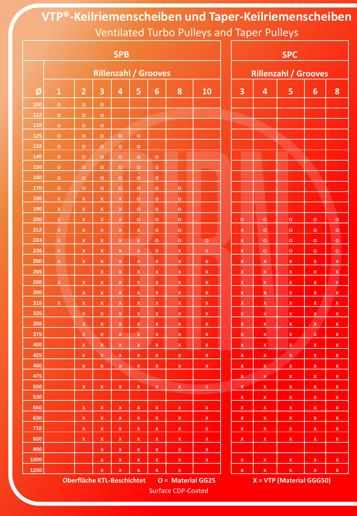**VTP®-Keilriemenscheiben und Taper-Keilriemenscheiben** Ventilated Turbo Pulleys and Taper Pulleys

| <b>SPB</b> |                             |                           |                                        |                                   |                         |                         |                    |                |  |                | <b>SPC</b>                  |                            |                                        |                           |  |  |  |
|------------|-----------------------------|---------------------------|----------------------------------------|-----------------------------------|-------------------------|-------------------------|--------------------|----------------|--|----------------|-----------------------------|----------------------------|----------------------------------------|---------------------------|--|--|--|
|            | <b>Rillenzahl / Grooves</b> |                           |                                        |                                   |                         |                         |                    |                |  |                | <b>Rillenzahl / Grooves</b> |                            |                                        |                           |  |  |  |
| Ø          | $\mathbf{1}$                | $\overline{2}$            | 3                                      | 4                                 | 5                       | 6                       | 8                  | 10             |  | 3              | $\overline{4}$              | 5                          | $6\phantom{1}$                         | 8                         |  |  |  |
| 100        | $\circ$                     | $\mathbf O$               | $\circ$                                |                                   |                         |                         |                    |                |  |                |                             |                            |                                        |                           |  |  |  |
| 112        | $\mathbf{o}$                | $\mathbf O$               | $\mathbf O$                            |                                   |                         |                         |                    |                |  |                |                             |                            |                                        |                           |  |  |  |
| 118        | $\circ$                     | $\circ$                   | $\circ$                                |                                   |                         |                         |                    |                |  |                |                             |                            |                                        |                           |  |  |  |
| 125        | $\mathsf{o}$                | $\circ$                   | $\circ$                                | $\mathbf{o}$                      | $\mathsf{o}$            |                         |                    |                |  |                |                             |                            |                                        |                           |  |  |  |
| 132        | $\circ$                     | $\circ$                   | $\circ$                                | $\circ$                           | $\circ$                 |                         |                    |                |  |                |                             |                            |                                        |                           |  |  |  |
| 140        | $\mathbf{o}$                | $\mathbf{o}$              | $\circ$                                | $\circ$                           | $\circ$                 | $\mathbf{o}$            |                    |                |  |                |                             |                            |                                        |                           |  |  |  |
| 150        | $\mathsf{o}$                | $\circ$                   | $\circ$                                | $\circ$                           | $\circ$                 | $\mathbf{o}$            |                    |                |  |                |                             |                            |                                        |                           |  |  |  |
| 160        | $\circ$                     | $\circ$                   | $\circ$                                | $\circ$                           | $\circ$                 | $\mathbf{o}$            |                    |                |  |                |                             |                            |                                        |                           |  |  |  |
| 170        | $\circ$                     | $\circ$                   | $\circ$                                | $\circ$                           | $\circ$                 | $\circ$                 | $\circ$            |                |  |                |                             |                            |                                        |                           |  |  |  |
| 180        | $\mathsf X$                 | $\overline{\mathbf{x}}$   | $\mathsf X$                            | $\mathsf X$                       | $\circ$                 | $\circ$                 | $\circ$            |                |  |                |                             |                            |                                        |                           |  |  |  |
| 190        | $\mathsf X$                 | $\boldsymbol{\mathsf{x}}$ | $\mathsf X$                            | $\mathsf X$                       | $\circ$                 | $\circ$                 | $\circ$            |                |  |                |                             |                            |                                        |                           |  |  |  |
| 200        | $\bar{\mathbf{x}}$          | $\mathsf X$               | $\mathsf X$                            | $\mathsf X$                       | $\circ$                 | $\circ$                 | $\circ$            |                |  | $\mathbf{o}$   | $\mathbf{o}$                | $\circ$                    | $\circ$                                | $\circ$                   |  |  |  |
| 212        | $\mathsf X$                 | $\pmb{\mathsf{x}}$        | $\mathsf X$                            | $\mathsf X$                       | $\pmb{\mathsf{X}}$      | $\circ$                 | $\circ$            |                |  | $\mathsf{x}$   | $\circ$                     | $\circ$                    | $\mathbf{o}$                           | $\circ$                   |  |  |  |
| 224        | $\mathsf X$                 | $\pmb{\mathsf{X}}$        | $\pmb{\mathsf{X}}$                     | $\mathsf X$                       | $\pmb{\mathsf{X}}$      | $\circ$                 | $\circ$            | $\mathbf{o}$   |  | $\mathbf x$    | $\mathbf{o}$                | $\circ$                    | $\mathbf{o}$                           | $\circ$                   |  |  |  |
| 236        | $\bar{\mathbf{X}}$          | $\pmb{\mathsf{X}}$        | $\mathsf X$                            | $\bar{\mathbf{X}}$                | $\pmb{\mathsf{X}}$      | $\mathsf{x}$            | $\mathsf X$        | $\mathsf X$    |  | $\mathbf x$    | $\mathbf{o}$                | $\circ$                    | $\mathbf{o}$                           | $\circ$                   |  |  |  |
| 250        | $\mathsf X$                 | $\mathsf X$               | $\mathsf X$                            | $\mathsf{x}$                      | $\mathsf X$             | $\mathsf X$             | $\mathsf{X}$       | $\mathsf X$    |  | $\mathbf x$    | $\mathsf X$                 | $\mathsf X$                | $\mathsf X$                            | $\overline{\mathbf{x}}$   |  |  |  |
| 265        |                             |                           | $\mathsf X$                            | $\mathsf X$                       | $\mathsf{x}$            | $\mathsf X$             | $\mathsf X$        | $\mathsf X$    |  | $\mathsf X$    | $\mathsf{x}$                | $\pmb{\mathsf{X}}$         | $\mathsf{x}$                           | $\pmb{\mathsf{x}}$        |  |  |  |
| 280        | $\bar{\mathbf{x}}$          | $\overline{\mathbf{X}}$   | $\mathsf{x}$                           | $\mathsf X$                       | $\overline{\mathbf{x}}$ | $\pmb{\mathsf{x}}$      | $\mathsf{x}$       | $\mathbf{x}$   |  | $\mathbf{x}$   | $\mathbf x$                 | $\overline{\mathbf{X}}$    | $\overline{\mathbf{X}}$                | $\overline{\mathbf{x}}$   |  |  |  |
| 300        |                             | $\pmb{\mathsf{x}}$        | $\mathsf X$                            | $\bar{\mathbf{X}}$                | $\bar{\mathbf{x}}$      | $\mathsf{x}$            | $\mathsf X$        | $\mathsf{x}$   |  | $\mathbf x$    | $\mathsf{x}$                | $\mathsf{x}$               | $\mathsf{x}$                           | $\overline{\mathbf{X}}$   |  |  |  |
| 315        | $\mathsf X$                 | $\mathsf X$               | $\mathsf X$                            | $\mathsf{x}$                      | $\mathsf{x}$            | $\mathsf X$             | $\mathsf X$        | $\mathbf{x}$   |  | $\mathsf{x}$   | $\overline{\mathbf{X}}$     | $\mathbf{x}$               | $\overline{\mathsf{x}}$                | $\overline{\mathbf{x}}$   |  |  |  |
| 335        |                             | $\bar{\mathsf{X}}$        | $\pmb{\mathsf{X}}$                     | $\pmb{\mathsf{X}}$                | $\overline{\mathbf{x}}$ | $\overline{\mathbf{x}}$ | $\mathsf X$        | $\mathbf{x}$   |  | $\mathbf{x}$   | $\overline{\mathbf{X}}$     | $\mathbf{x}$               | $\overline{\mathbf{X}}$                | $\overline{\mathbf{x}}$   |  |  |  |
| 355        |                             | $\mathsf{x}$              | $\mathsf X$                            | $\mathsf X$                       | $\pmb{\mathsf{x}}$      | $\pmb{\mathsf{x}}$      | $\mathbf x$        | $\mathsf{x}$   |  | $\mathbf x$    | $\pmb{\chi}$                | $\pmb{\chi}$               | $\overline{\mathsf{x}}$                | $\overline{\mathbf{x}}$   |  |  |  |
| 375        |                             | $\pmb{\mathsf{X}}$        | $\mathsf X$                            | $\mathsf X$                       | $\pmb{\mathsf{X}}$      | $\pmb{\mathsf{X}}$      | $\pmb{\mathsf{X}}$ | $\pmb{\chi}$   |  | $\mathsf X$    | $\pmb{\mathsf{X}}$          | $\pmb{\mathsf{x}}$         | $\pmb{\mathsf{X}}$                     | $\overline{\mathbf{x}}$   |  |  |  |
| 400        |                             | $\mathsf X$               | $\mathsf{X}$                           | $\mathsf X$                       | $\mathsf X$             | $\mathsf{X}^-$          | $\mathsf{x}$       | $\mathsf{x}$   |  | $\mathbf{x}$   | $\mathbf{x}$                | $\mathsf X$                | $\mathsf{X}$                           | $\overline{\mathbf{x}}$   |  |  |  |
| 425        |                             | $\mathsf{x}$              | $\mathsf{X}$                           | $\mathsf X$                       | $\mathsf{x}$            | $\mathsf X$             | $\mathsf X$        | $\mathsf{X}$   |  | $\mathsf{X}$   | $\mathsf{x}$                | $\mathsf{X}$               | $\mathbf{x}$                           | $\boldsymbol{\mathsf{x}}$ |  |  |  |
| 450        |                             | $\mathsf X$               | $\mathsf{X}$                           | $\mathsf X$                       | $\mathsf X$             | $\mathsf{X}$            | $\mathsf X$        | $\mathsf X$    |  | $\mathbf{x}$   | $\mathbf{x}$                | $\mathbf{x}$               | $\mathsf X$                            | $\overline{\mathbf{x}}$   |  |  |  |
| 475        |                             |                           |                                        |                                   |                         |                         |                    |                |  | $\mathbf{x}$   | $\mathsf{X}$                | $\mathbf{x}$               | $\mathbf{x}$                           | $\mathsf{x}$              |  |  |  |
| 500        |                             | $\mathsf{X}$              | $\mathsf{X}^-$                         | $\mathsf{X}^-$                    | $\mathbf{x}$            | $\mathsf{X}$            | $\mathsf{X}^-$     | $\mathbf{X}^-$ |  | $\mathsf{X}$   | $\mathbf{x}$                | $\mathbf{x}$               | $\mathbf{x}$                           | $\overline{\mathbf{x}}$   |  |  |  |
| 530        |                             |                           |                                        |                                   |                         |                         |                    |                |  | $\mathbf{x}$   | $\mathbf{x}$                | $\mathbf{x}$               | $\mathbf{x}$                           | $\overline{\mathbf{x}}$   |  |  |  |
| 560        |                             | $\mathsf{X}$              | $\mathsf{X}^{\scriptscriptstyle \top}$ | $\mathsf X$                       | $\mathsf{X}$            | $\mathsf{X}$            | $\mathsf{X}$       | $\mathsf{X}$   |  | $\mathsf{X}$   | $\mathsf{X}$                | $\mathsf X$                | $\mathsf{X}^{\scriptscriptstyle \top}$ | $\overline{\mathbf{x}}$   |  |  |  |
| 630        |                             | $\mathbf x$               | $\mathsf{X}$                           | $\mathsf{x}$                      | $\mathbf{x}$            | $\mathsf X$             | $\mathbf{x}$       | $\mathbf{x}$   |  | $\mathbf{x}$   | $\mathbf{x}$                | $\mathbf{x}$               | $\mathbf{x}$                           | $\mathbf{x}$              |  |  |  |
| 710        |                             | $\overline{\mathbf{x}}$   | $\mathsf X$                            | $\mathsf X$                       | $\pmb{\mathsf{x}}$      | $\mathsf{X}$            | $\mathsf{x}$       | $\mathbf{x}$   |  | $\mathsf X$    | $\mathsf{x}$                | $\mathsf X$                | $\mathbf{x}$                           | $\mathsf{x}$              |  |  |  |
| 800        |                             | $\mathsf X$               | $\mathsf{X}$                           | $\mathsf X$                       | $\mathsf{x}$            | $\mathsf{X}$            | $\mathsf X$        | $\mathbf{x}$   |  | $\mathsf{X}^-$ | $\mathsf{X}$                | $\mathsf{X}$               | $\mathbf{x}$                           | $\overline{\mathbf{x}}$   |  |  |  |
| 900        |                             |                           | $\mathsf{X}^-$                         | $\mathsf X$                       | $\mathbf{x}$            | $\mathbf{x}$            | $\mathbf{x}$       | $\mathbf{x}$   |  |                |                             |                            |                                        |                           |  |  |  |
| 1000       |                             |                           | $\mathsf{X}^-$                         | $\mathbf{x}$                      | $\mathsf{X}$            | $\mathsf{X}^-$          | $\mathbf{x}$       | $\mathbf{x}$   |  | $\mathbf{x}$   | $\mathbf{x}$                | $\mathbf{x}$               | $\mathbf{x}$                           | $\mathsf{x}$              |  |  |  |
| 1250       |                             |                           | $\mathsf X$                            | $\pmb{\mathsf{X}}$                | $\mathsf{x}$            | $\mathsf X$             | $\mathsf{x}$       |                |  | $\mathbf{x}$   | $\mathsf X$                 | $\mathsf{x}$               | $\mathsf{x}$                           | $\mathbf{x}$              |  |  |  |
|            |                             |                           |                                        | <b>Oberfläche KTL-Beschichtet</b> |                         |                         | O = Material GG25  |                |  |                |                             | $X = VTP$ (Material GGG50) |                                        |                           |  |  |  |

**(Material GGG50)** 

Surface CDP-Coated